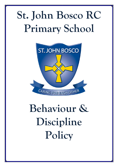## **St. John Bosco RC Primary School**



# **Behaviour & Discipline Policy**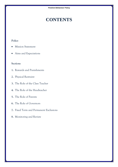### **CONTENTS**

#### **Policy**

- Mission Statement
- Aims and Expectations

#### **Sections**

- **1.** Rewards and Punishments
- **2.** Physical Restraint
- **3.** The Role of the Class Teacher
- **4.** The Role of the Headteacher
- **5.** The Role of Parents
- **6.** The Role of Governors
- **7.** Fixed Term and Permanent Exclusions
- **8.** Monitoring and Review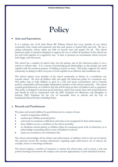### **Policy**

#### **Aims and Expectations**

It is a primary aim of St. John Bosco RC Primary School that every member of our school community feels valued and respected, and that each person is treated fairly and well. We are a caring community, whose values are built on mutual trust and respect for all. The school behaviour policy is therefore designed to support the way in which all members of the school can live and work together in a supportive way. It aims to promote an environment where everyone feels happy, safe and secure.

The school has a number of school rules, but the primary aim of the behaviour policy is not a system to enforce rules. It is a means of promoting good relationships, so that people can work together with the common purpose of helping everyone to learn. This policy supports the school community in aiming to allow everyone to work together in an effective and considerate way.

The school expects every member of the school community to behave in a considerate way towards others. We treat all children fairly and apply this behaviour policy in a consistent way. This policy aims to help children to grow in a safe and secure environment, and to become positive, responsible and increasingly independent members of the school community. The school rewards good behaviour, as it believes that this will develop an ethos of kindness and co-operation. This policy is designed to promote good behaviour, rather than merely deter anti-social behaviour and should be read in conjunction with the DFE Guidance for Behaviour and Discipline in Schools, DFE Guidance for the Use of reasonable force in schools and the City of Sunderland/School Positive Handling Policy.

#### **1. Rewards and Punishments**

We praise and reward children for good behaviour in a variety of ways:

- teachers congratulate children;
- teachers give children pastoral points;
- each week we nominate a child from each class to be recognised for their achievements;
- these children receive a certificate in the school assembly;
- we distribute reward stickers to children either for consistent good work or behaviour, or to acknowledge outstanding effort or acts of kindness in school;
- names are recorded in our Celebration File.

The school acknowledges all the efforts and achievements of children, both in and out of school. The personal record file contains information regarding pupil achievement out of school, for example, music or swimming certificates.

The school employs a number of sanctions to enforce the school rules, and to ensure a safe and positive learning environment. We employ each sanction appropriately to each individual situation.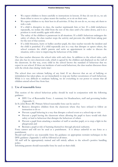- We expect children to listen carefully to instructions in lessons. If they do not do so, we ask them either to move to a place nearer the teacher, or to sit on their own.
- We expect children to try their best in all activities. If they do not do so, we may ask them to redo a task.
- If a child is disruptive in class, the teacher reprimands him or her. If a child misbehaves repeatedly, we isolate the child from the rest of the class until s/he calms down, and is in a position to work sensibly again with others.
- The safety of the children is paramount in all situations. If a child's behaviour endangers the safety of others, the class teacher stops the activity and prevents the child from taking part for the rest of that session.
- If a child threatens, hurts or bullies another pupil, the class teacher records the incident and the child is punished. If a child repeatedly acts in a way that disrupts or upsets others, the school contacts the child's parents and seeks an appointment in order to discuss the situation, with a view to improving the behaviour of the child.

The class teacher discusses the school rules with each class. In addition to the school rules, each class also has its own classroom code, which is agreed by the children and displayed on the wall of the classroom. In this way, every child in the school knows the standard of behaviour that we expect in our school. If there are incidents of anti-social behaviour, the class teacher discusses these with the whole class during 'circle time'.

The school does not tolerate bullying of any kind. If we discover that an act of bullying or intimidation has taken place, we act immediately to stop any further occurrences of such behaviour. While it is very difficult to eradicate bullying, we do everything in our power to ensure that all children attend school free from fear.

#### **2. Use of reasonable force**

This section of the school behaviour policy should be read in conjunction with the following guidance:

 DFE Use of Reasonable Force. A summary for Headteachers, staff and governing bodies (Appendix 1)

In St. John Bosco RC Primary School reasonable force can be used to:

- Remove disruptive children from the classroom where they have refused to follow an instruction to do so
- Prevent a pupil behaving in a way that disrupts a school event or a school trip or visit
- Prevent a pupil leaving the classroom where allowing the pupil to leave would risk their safety or lead to behaviour that disrupts the behaviour of others
- Prevent a pupil from attacking a member of staff or another pupil, or to stop a fight in the playground; and
- Restrain a pupil at risk of harming themselves through physical outbursts.

Force cannot and will not be used as a punishment. It is always unlawful to use force as a punishment.

Should staff need to use reasonable force the guidance on appropriate restraint techniques in the DFE guidance (Appendix 1) will be followed at all times.

All staff will be appropriately trained and will strictly adhere to the school's positive handling policy.

Informing parents should reasonable force be used on their child.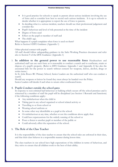- It is good practice for schools to speak to parents about serious incidents involving the use of force and to consider how best to record such serious incidents. It is up to schools to decide whether it is appropriate to report the use of force to parents.
- In deciding what is a serious incident, teachers should use their professional judgement and consider the:
- Pupil's behaviour and level of risk presented at the time of the incident
- Degree of force used
- Effect on the pupil or member of staff and
- The child's age.
- What happens if a pupil complains when force is used on them? Refer to Section 8 DFE Guidance (Appendix 1)

Other physical contact with pupils.

All staff should follow safeguarding guidance in the Safer Working Practices document and refer also to Section 9 of the DFE Guidance (Appendix 1)

3. **In addition to the general power to use reasonable force** Headteachers and authorised staff can use such force as is reasonable to conduct a search and to confiscate, retain or dispose of a pupil's property. (Refer to DFE Guidance Appendix 1 and Appendix 2) See also the associated link for the power to search without consent for weapons, knives, alcohol, drugs or stolen items.)

In St. John Bosco RC Primary School, Senior Leaders are the authorised staff who can conduct a search.

Should any weapons or knives be found they must always be handed over the Police.

Senior Leaders will decide if and when to return other confiscated items.

#### 4. **Pupils Conduct outside the school gates**

In response to non-criminal bad behaviour or bullying which occurs off the school premises and is witnessed by a member of staff the pupil will be disciplined (see Section 1 Rewards and Sanctions) if the following conditions apply:-

- Any misbehaviour when the child is:
- Taking part in any school organised or school related activity or
- Travelling to or from school or
- Wearing school uniform or
- In some other way identifiable as a pupil at the school.
- Or misbehaviour at any time, whether or not the conditions above apply that:
- Could have repercussions for the orderly running of the school or
- Poses a threat to another pupil or member of the public or
- Could adversely affect the reputation of the school.

#### **5. The Role of the Class Teacher**

It is the responsibility of the class teacher to ensure that the school rules are enforced in their class, and that their class behaves in a responsible manner during lesson time.

The class teachers in our school have high expectations of the children in terms of behaviour, and they strive to ensure that all children work to the best of their ability.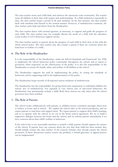The class teacher treats each child fairly and enforces the classroom code consistently. The teacher treats all children in their class with respect and understanding. If a child misbehaves repeatedly in class, the class teacher keeps a record of all such incidents. In the first instance, the class teacher deals with incidents him/herself in the normal manner. However, if misbehaviour continues, the class teacher seeks help and advice from the Headteacher.

The class teacher liaises with external agencies, as necessary, to support and guide the progress of each child. The class teacher may, for example, discuss the needs of a child with the education social worker or LEA behaviour support service.

The class teacher reports to parents about the progress of each child in their class, in line with the whole–school policy. The class teacher may also contact a parent if there are concerns about the behaviour or welfare of a child.

#### **6. The Role of the Headteacher**

It is the responsibility of the Headteacher, under the School Standards and Framework Act 1998, to implement the school behaviour policy consistently throughout the school, and to report to governors, when requested, on the effectiveness of the policy. It is also the responsibility of the Headteacher to ensure the health, safety and welfare of all children in the school.

The Headteacher supports the staff by implementing the policy, by setting the standards of behaviour, and by supporting staff in the implementation of the policy.

The Headteacher keeps records of all reported serious incidents of misbehaviour.

The Headteacher has the responsibility for giving fixed-term suspensions to individual children for serious acts of misbehaviour. For repeated or very serious acts of anti-social behaviour, the Headteacher may permanently exclude a child. Both these actions are only taken after the school governors have been notified.

#### **7. The Role of Parents**

The school works collaboratively with parents, so children receive consistent messages about how to behave at home and at school. We explain the school rules in the school prospectus, and we expect parents to read these and support them. We expect parents to support their child's learning, and to co-operate with the school, as set out in the home–school agreement. We try to build a supportive dialogue between the home and the school, and we inform parents immediately if we have concerns about their child's welfare or behaviour.

If the school has to use reasonable sanctions to punish a child, parents should support the actions of the school. If parents have any concern about the way that their child has been treated, they should initially contact the class teacher. If the concern remains, they should contact the school governors. If these discussions cannot resolve the problem, a formal grievance or appeal process can be implemented.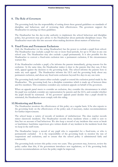#### **8. The Role of Governors**

The governing body has the responsibility of setting down these general guidelines on standards of discipline and behaviour, and of reviewing their effectiveness. The governors support the Headteacher in carrying out these guidelines.

The Headteacher has the day-to-day authority to implement the school behaviour and discipline policy, but governors may give advice to the Headteacher about particular disciplinary issues. The Headteacher must take this into account when making decisions about matters of behaviour.

#### **9. Fixed-Term and Permanent Exclusions**

Only the Headteacher (or the acting Headteacher) has the power to exclude a pupil from school. The Headteacher may exclude a pupil for one or more fixed periods, for up to 45 days in any one school year. The Headteacher may also exclude a pupil permanently. It is also possible for the Headteacher to convert a fixed-term exclusion into a permanent exclusion, if the circumstances warrant this.

If the Headteacher excludes a pupil, s/he informs the parents immediately, giving reasons for the exclusion. At the same time, the Headteacher makes it clear to the parents that they can, if they wish, appeal against the decision to the governing body. The school informs the parents how to make any such appeal. The Headteacher informs the LEA and the governing body about any permanent exclusion, and about any fixed-term exclusions beyond five days in any one term.

The governing body itself cannot either exclude a pupil or extend the exclusion period made by the Headteacher. The governing body has a discipline committee which is made up of between three and five members. This committee considers any exclusion appeals on behalf of the governors.

When an appeals panel meets to consider an exclusion, they consider the circumstances in which the pupil was excluded, consider any representation by parents and the LEA, and consider whether the pupil should be reinstated. If the governors' appeals panel decides that a pupil should be reinstated, the Headteacher must comply with this ruling.

#### **10.Monitoring and Review**

The Headteacher monitors the effectiveness of this policy on a regular basis. S/he also reports to the governing body on the effectiveness of the policy and, if necessary, makes recommendations for further improvements.

The school keeps a variety of records of incidents of misbehaviour. The class teacher records minor classroom incidents. The Headteacher records those incidents where a child is sent to him/her on account of bad behaviour. We also keep a record of any incidents that occur at break or lunchtimes: lunchtime supervisors give written details of any incident in the incidents book that we keep in the staff room.

The Headteacher keeps a record of any pupil who is suspended for a fixed-term, or who is permanently excluded. It is the responsibility of the governing body to monitor the rate of suspensions and exclusions, and to ensure that the school policy is administered fairly and consistently.

The governing body reviews this policy every two years. They governors may, however, review the policy earlier than this, if the government introduces new regulations, or if the governing body receives recommendations on how the policy might be improved.